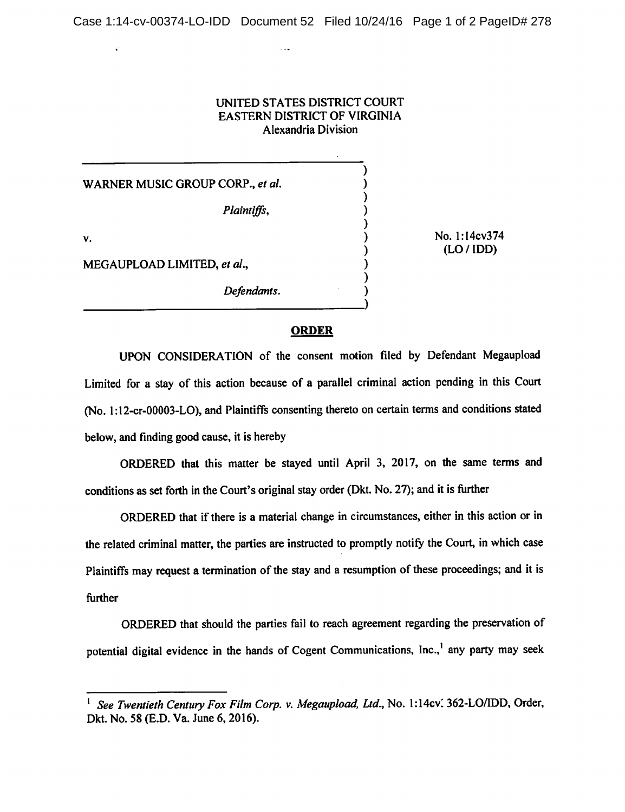## UNITED STATES DISTRICT COURT EASTERN DISTRICT OF VIRGINIA Alexandria Division

 $\mathcal{E}$  $\lambda$ 

 $\mathcal{E}$  $\mathcal{E}$  $\mathcal{E}$ 

WARNER MUSIC GROUP CORP., **et al.**

**Plaintiffs,**

**Defendants.**

v.

No. I:14cv374 (LO/IDD)

MEGAUPLOAD LIMITED, **et al,**

## *ORDER*

UPON CONSIDERATION of the consent motion filed by Defendant Megaupload Limited for a stay of this action because of a parallel criminal action pending in this Court (No. l:12-cr-00003-LO), and Plaintiffs consenting thereto on certain terms and conditions stated below, and finding good cause, it is hereby

ORDERED that this matter be stayed until April 3, 2017, on the same terms and conditions as set forth in the Court's original stay order (Dkt. No. 27); and it is further

ORDERED that if there is a material change in circumstances, either in this action or in the related criminal matter, the parties are instructed to promptly notify the Court, in which case Plaintiffs may request a termination of the stay and a resumption of these proceedings; and it is further

ORDERED that should the parties fail to reach agreement regarding the preservation of potential digital evidence in the hands of Cogent Communications, Inc.,<sup>1</sup> any party may seek

<sup>1</sup> **See Twentieth Century Fox Film Corp. v. Megaupload, Ltd.,** No. l:14cv: 362-LO/IDD, Order, Dkt. No. 58 (E.D. Va. June 6, 2016).